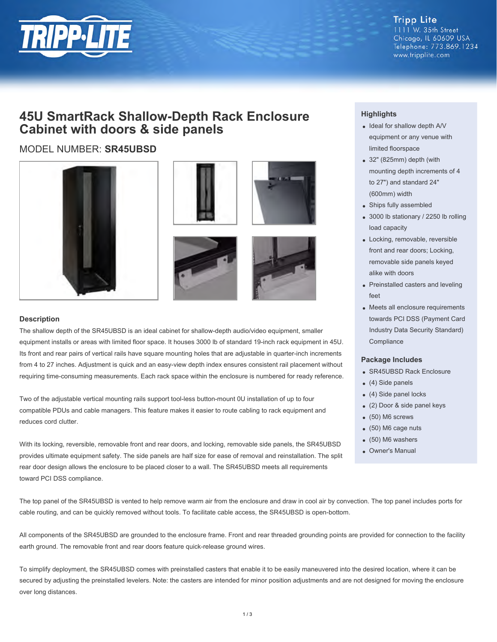

**Tripp Lite** 1111 W. 35th Street Chicago, IL 60609 USA Telephone: 773.869.1234 www.tripplite.com

## **45U SmartRack Shallow-Depth Rack Enclosure Cabinet with doors & side panels**

### MODEL NUMBER: **SR45UBSD**









#### **Description**

The shallow depth of the SR45UBSD is an ideal cabinet for shallow-depth audio/video equipment, smaller equipment installs or areas with limited floor space. It houses 3000 lb of standard 19-inch rack equipment in 45U. Its front and rear pairs of vertical rails have square mounting holes that are adjustable in quarter-inch increments from 4 to 27 inches. Adjustment is quick and an easy-view depth index ensures consistent rail placement without requiring time-consuming measurements. Each rack space within the enclosure is numbered for ready reference.

Two of the adjustable vertical mounting rails support tool-less button-mount 0U installation of up to four compatible PDUs and cable managers. This feature makes it easier to route cabling to rack equipment and reduces cord clutter.

With its locking, reversible, removable front and rear doors, and locking, removable side panels, the SR45UBSD provides ultimate equipment safety. The side panels are half size for ease of removal and reinstallation. The split rear door design allows the enclosure to be placed closer to a wall. The SR45UBSD meets all requirements toward PCI DSS compliance.

#### **Highlights**

- Ideal for shallow depth A/V equipment or any venue with limited floorspace
- 32" (825mm) depth (with mounting depth increments of 4 to 27") and standard 24" (600mm) width
- Ships fully assembled
- 3000 lb stationary / 2250 lb rolling load capacity
- Locking, removable, reversible front and rear doors; Locking, removable side panels keyed alike with doors
- Preinstalled casters and leveling feet
- Meets all enclosure requirements towards PCI DSS (Payment Card Industry Data Security Standard) **Compliance**

#### **Package Includes**

- SR45UBSD Rack Enclosure
- $(4)$  Side panels
- (4) Side panel locks
- (2) Door & side panel keys
- (50) M6 screws
- (50) M6 cage nuts
- (50) M6 washers
- Owner's Manual

The top panel of the SR45UBSD is vented to help remove warm air from the enclosure and draw in cool air by convection. The top panel includes ports for cable routing, and can be quickly removed without tools. To facilitate cable access, the SR45UBSD is open-bottom.

All components of the SR45UBSD are grounded to the enclosure frame. Front and rear threaded grounding points are provided for connection to the facility earth ground. The removable front and rear doors feature quick-release ground wires.

To simplify deployment, the SR45UBSD comes with preinstalled casters that enable it to be easily maneuvered into the desired location, where it can be secured by adjusting the preinstalled levelers. Note: the casters are intended for minor position adjustments and are not designed for moving the enclosure over long distances.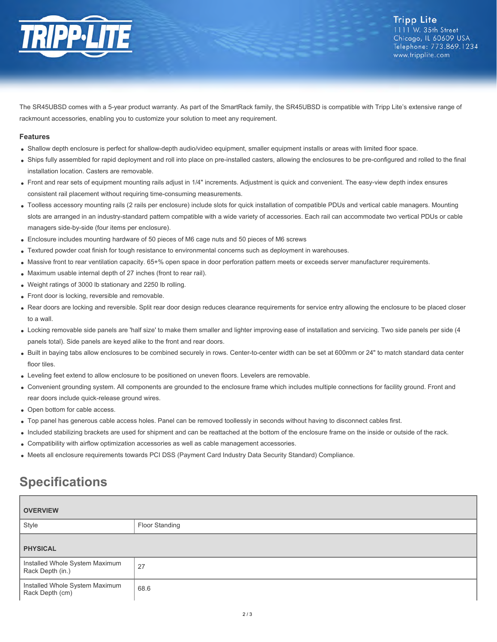

The SR45UBSD comes with a 5-year product warranty. As part of the SmartRack family, the SR45UBSD is compatible with Tripp Lite's extensive range of rackmount accessories, enabling you to customize your solution to meet any requirement.

#### **Features**

- Shallow depth enclosure is perfect for shallow-depth audio/video equipment, smaller equipment installs or areas with limited floor space.
- Ships fully assembled for rapid deployment and roll into place on pre-installed casters, allowing the enclosures to be pre-configured and rolled to the final installation location. Casters are removable.
- Front and rear sets of equipment mounting rails adjust in 1/4" increments. Adjustment is quick and convenient. The easy-view depth index ensures consistent rail placement without requiring time-consuming measurements.
- Toolless accessory mounting rails (2 rails per enclosure) include slots for quick installation of compatible PDUs and vertical cable managers. Mounting slots are arranged in an industry-standard pattern compatible with a wide variety of accessories. Each rail can accommodate two vertical PDUs or cable managers side-by-side (four items per enclosure).
- Enclosure includes mounting hardware of 50 pieces of M6 cage nuts and 50 pieces of M6 screws
- Textured powder coat finish for tough resistance to environmental concerns such as deployment in warehouses.
- Massive front to rear ventilation capacity. 65+% open space in door perforation pattern meets or exceeds server manufacturer requirements.
- Maximum usable internal depth of 27 inches (front to rear rail).
- Weight ratings of 3000 lb stationary and 2250 lb rolling.
- Front door is locking, reversible and removable.
- Rear doors are locking and reversible. Split rear door design reduces clearance requirements for service entry allowing the enclosure to be placed closer to a wall.
- Locking removable side panels are 'half size' to make them smaller and lighter improving ease of installation and servicing. Two side panels per side (4 panels total). Side panels are keyed alike to the front and rear doors.
- Built in baying tabs allow enclosures to be combined securely in rows. Center-to-center width can be set at 600mm or 24" to match standard data center floor tiles.
- Leveling feet extend to allow enclosure to be positioned on uneven floors. Levelers are removable.
- Convenient grounding system. All components are grounded to the enclosure frame which includes multiple connections for facility ground. Front and rear doors include quick-release ground wires.
- Open bottom for cable access.
- Top panel has generous cable access holes. Panel can be removed toollessly in seconds without having to disconnect cables first.
- Included stabilizing brackets are used for shipment and can be reattached at the bottom of the enclosure frame on the inside or outside of the rack.
- Compatibility with airflow optimization accessories as well as cable management accessories.
- Meets all enclosure requirements towards PCI DSS (Payment Card Industry Data Security Standard) Compliance.

# **Specifications**

| <b>OVERVIEW</b>                                    |                |
|----------------------------------------------------|----------------|
| Style                                              | Floor Standing |
| <b>PHYSICAL</b>                                    |                |
| Installed Whole System Maximum<br>Rack Depth (in.) | 27             |
| Installed Whole System Maximum<br>Rack Depth (cm)  | 68.6           |